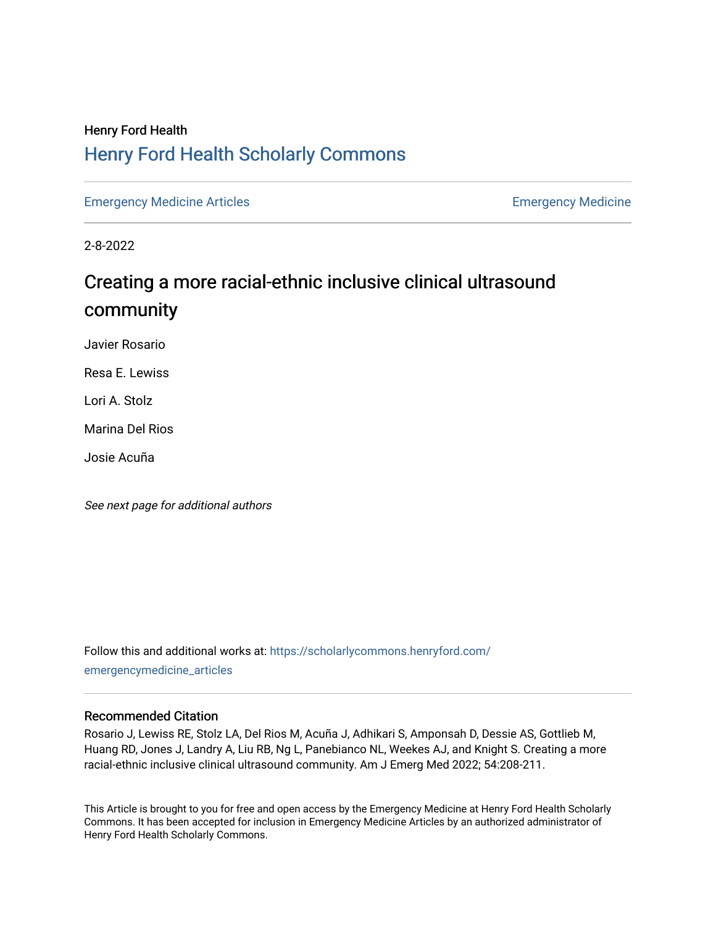# Henry Ford Health [Henry Ford Health Scholarly Commons](https://scholarlycommons.henryford.com/)

[Emergency Medicine Articles](https://scholarlycommons.henryford.com/emergencymedicine_articles) [Emergency Medicine](https://scholarlycommons.henryford.com/emergencymedicine) 

2-8-2022

# Creating a more racial-ethnic inclusive clinical ultrasound community

Javier Rosario

Resa E. Lewiss

Lori A. Stolz

Marina Del Rios

Josie Acuña

See next page for additional authors

Follow this and additional works at: [https://scholarlycommons.henryford.com/](https://scholarlycommons.henryford.com/emergencymedicine_articles?utm_source=scholarlycommons.henryford.com%2Femergencymedicine_articles%2F264&utm_medium=PDF&utm_campaign=PDFCoverPages) [emergencymedicine\\_articles](https://scholarlycommons.henryford.com/emergencymedicine_articles?utm_source=scholarlycommons.henryford.com%2Femergencymedicine_articles%2F264&utm_medium=PDF&utm_campaign=PDFCoverPages) 

### Recommended Citation

Rosario J, Lewiss RE, Stolz LA, Del Rios M, Acuña J, Adhikari S, Amponsah D, Dessie AS, Gottlieb M, Huang RD, Jones J, Landry A, Liu RB, Ng L, Panebianco NL, Weekes AJ, and Knight S. Creating a more racial-ethnic inclusive clinical ultrasound community. Am J Emerg Med 2022; 54:208-211.

This Article is brought to you for free and open access by the Emergency Medicine at Henry Ford Health Scholarly Commons. It has been accepted for inclusion in Emergency Medicine Articles by an authorized administrator of Henry Ford Health Scholarly Commons.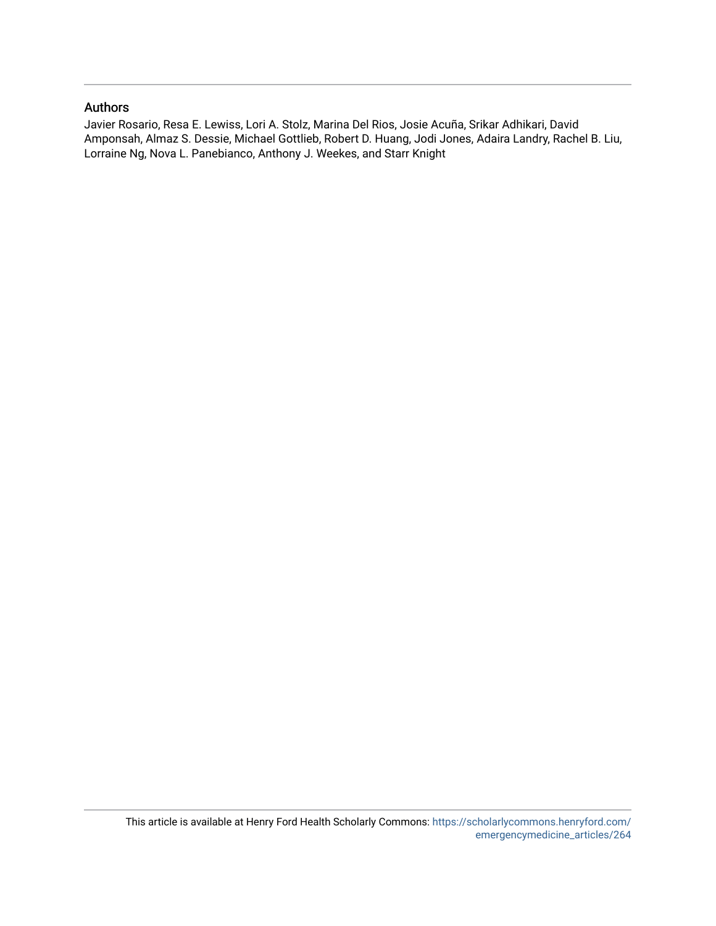### Authors

Javier Rosario, Resa E. Lewiss, Lori A. Stolz, Marina Del Rios, Josie Acuña, Srikar Adhikari, David Amponsah, Almaz S. Dessie, Michael Gottlieb, Robert D. Huang, Jodi Jones, Adaira Landry, Rachel B. Liu, Lorraine Ng, Nova L. Panebianco, Anthony J. Weekes, and Starr Knight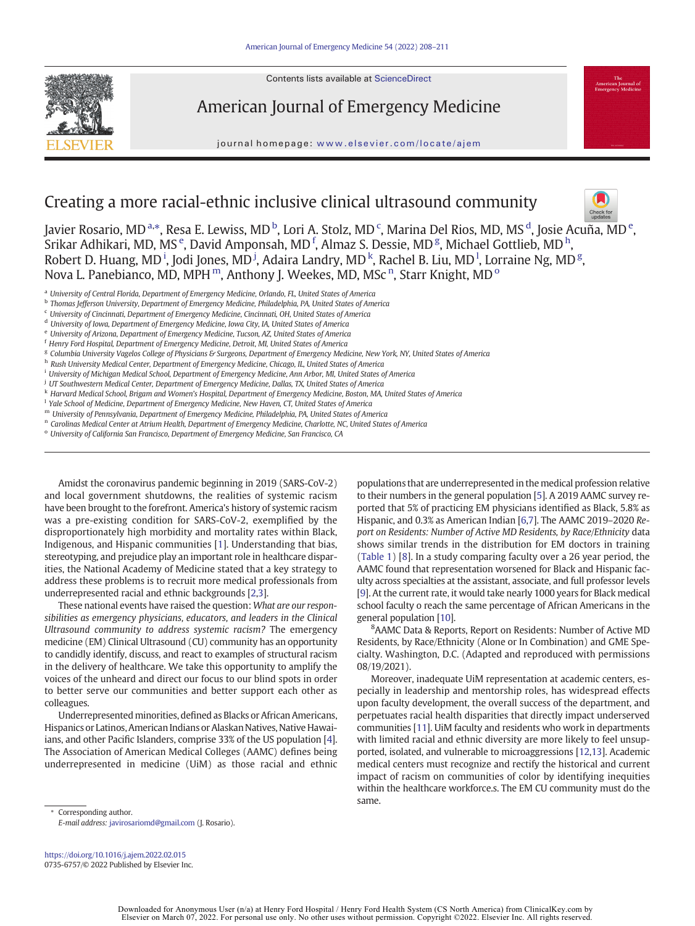Contents lists available at ScienceDirect



American Journal of Emergency Medicine

journal homepage: <www.elsevier.com/locate/ajem>

## Creating a more racial-ethnic inclusive clinical ultrasound community



Javier Rosario, MD <sup>a,\*</sup>, Resa E. Lewiss, MD <sup>b</sup>, Lori A. Stolz, MD <sup>c</sup>, Marina Del Rios, MD, MS <sup>d</sup>, Josie Acu<del>ña, M</del>D <sup>e</sup>, Srikar Adhikari, MD, MS  $\rm^e$ , David Amponsah, MD  $\rm^f$ , Almaz S. Dessie, MD  $\rm^g$ , Michael Gottlieb, MD  $\rm^h$ , Robert D. Huang, MD<sup>i</sup>, Jodi Jones, MD<sup>j</sup>, Adaira Landry, MD<sup>k</sup>, Rachel B. Liu, MD<sup>1</sup>, Lorraine Ng, MD<sup>g</sup>, Nova L. Panebianco, MD, MPH  $^{\rm m}$ , Anthony J. Weekes, MD, MSc  $^{\rm n}$ , Starr Knight, MD  $^{\rm o}$ 

<sup>a</sup> University of Central Florida, Department of Emergency Medicine, Orlando, FL, United States of America

<sup>b</sup> Thomas Jefferson University, Department of Emergency Medicine, Philadelphia, PA, United States of America

<sup>c</sup> University of Cincinnati, Department of Emergency Medicine, Cincinnati, OH, United States of America

<sup>d</sup> University of Iowa, Department of Emergency Medicine, Iowa City, IA, United States of America

<sup>e</sup> University of Arizona, Department of Emergency Medicine, Tucson, AZ, United States of America

<sup>f</sup> Henry Ford Hospital, Department of Emergency Medicine, Detroit, MI, United States of America

<sup>g</sup> Columbia University Vagelos College of Physicians & Surgeons, Department of Emergency Medicine, New York, NY, United States of America

h Rush University Medical Center, Department of Emergency Medicine, Chicago, IL, United States of America

<sup>i</sup> University of Michigan Medical School, Department of Emergency Medicine, Ann Arbor, MI, United States of America

<sup>j</sup> UT Southwestern Medical Center, Department of Emergency Medicine, Dallas, TX, United States of America

k Harvard Medical School, Brigam and Women's Hospital, Department of Emergency Medicine, Boston, MA, United States of America

<sup>1</sup> Yale School of Medicine, Department of Emergency Medicine, New Haven, CT, United States of America

<sup>m</sup> University of Pennsylvania, Department of Emergency Medicine, Philadelphia, PA, United States of America

n Carolinas Medical Center at Atrium Health, Department of Emergency Medicine, Charlotte, NC, United States of America

<sup>o</sup> University of California San Francisco, Department of Emergency Medicine, San Francisco, CA

Amidst the coronavirus pandemic beginning in 2019 (SARS-CoV-2) and local government shutdowns, the realities of systemic racism have been brought to the forefront. America's history of systemic racism was a pre-existing condition for SARS-CoV-2, exemplified by the disproportionately high morbidity and mortality rates within Black, Indigenous, and Hispanic communities [[1](#page-4-0)]. Understanding that bias, stereotyping, and prejudice play an important role in healthcare disparities, the National Academy of Medicine stated that a key strategy to address these problems is to recruit more medical professionals from underrepresented racial and ethnic backgrounds [\[2,3\]](#page-4-0).

These national events have raised the question: What are our responsibilities as emergency physicians, educators, and leaders in the Clinical Ultrasound community to address systemic racism? The emergency medicine (EM) Clinical Ultrasound (CU) community has an opportunity to candidly identify, discuss, and react to examples of structural racism in the delivery of healthcare. We take this opportunity to amplify the voices of the unheard and direct our focus to our blind spots in order to better serve our communities and better support each other as colleagues.

Underrepresented minorities, defined as Blacks or African Americans, Hispanics or Latinos, American Indians or Alaskan Natives, Native Hawaiians, and other Pacific Islanders, comprise 33% of the US population [\[4\]](#page-4-0). The Association of American Medical Colleges (AAMC) defines being underrepresented in medicine (UiM) as those racial and ethnic populations that are underrepresented in the medical profession relative to their numbers in the general population [\[5\]](#page-4-0). A 2019 AAMC survey reported that 5% of practicing EM physicians identified as Black, 5.8% as Hispanic, and 0.3% as American Indian [[6](#page-4-0),[7](#page-4-0)]. The AAMC 2019–2020 Report on Residents: Number of Active MD Residents, by Race/Ethnicity data shows similar trends in the distribution for EM doctors in training ([Table 1](#page-3-0)) [[8](#page-4-0)]. In a study comparing faculty over a 26 year period, the AAMC found that representation worsened for Black and Hispanic faculty across specialties at the assistant, associate, and full professor levels [[9](#page-4-0)]. At the current rate, it would take nearly 1000 years for Black medical school faculty o reach the same percentage of African Americans in the general population [\[10](#page-4-0)].

8 AAMC Data & Reports, Report on Residents: Number of Active MD Residents, by Race/Ethnicity (Alone or In Combination) and GME Specialty. Washington, D.C. (Adapted and reproduced with permissions 08/19/2021).

Moreover, inadequate UiM representation at academic centers, especially in leadership and mentorship roles, has widespread effects upon faculty development, the overall success of the department, and perpetuates racial health disparities that directly impact underserved communities [\[11](#page-4-0)]. UiM faculty and residents who work in departments with limited racial and ethnic diversity are more likely to feel unsupported, isolated, and vulnerable to microaggressions [\[12,13\]](#page-4-0). Academic medical centers must recognize and rectify the historical and current impact of racism on communities of color by identifying inequities within the healthcare workforce.s. The EM CU community must do the same.

Corresponding author. E-mail address: [javirosariomd@gmail.com](mailto:javirosariomd@gmail.com) (J. Rosario).

<https://doi.org/10.1016/j.ajem.2022.02.015> 0735-6757/© 2022 Published by Elsevier Inc.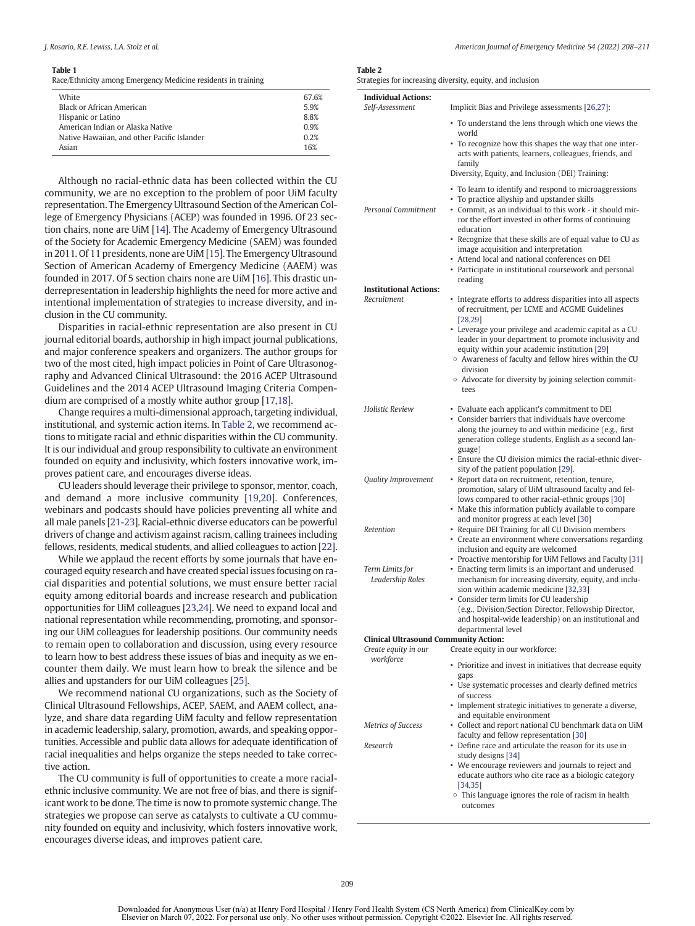#### <span id="page-3-0"></span>Table 1

Race/Ethnicity among Emergency Medicine residents in training

| White                                       | 67.6% |
|---------------------------------------------|-------|
| Black or African American                   | 5.9%  |
| Hispanic or Latino                          | 8.8%  |
| American Indian or Alaska Native            | 0.9%  |
| Native Hawaiian, and other Pacific Islander | 0.2%  |
| Asian                                       | 16%   |
|                                             |       |

Although no racial-ethnic data has been collected within the CU community, we are no exception to the problem of poor UiM faculty representation. The Emergency Ultrasound Section of the American College of Emergency Physicians (ACEP) was founded in 1996. Of 23 section chairs, none are UiM [[14\]](#page-4-0). The Academy of Emergency Ultrasound of the Society for Academic Emergency Medicine (SAEM) was founded in 2011. Of 11 presidents, none are UiM [\[15](#page-4-0)]. The Emergency Ultrasound Section of American Academy of Emergency Medicine (AAEM) was founded in 2017. Of 5 section chairs none are UiM [\[16\]](#page-4-0). This drastic underrepresentation in leadership highlights the need for more active and intentional implementation of strategies to increase diversity, and inclusion in the CU community.

Disparities in racial-ethnic representation are also present in CU journal editorial boards, authorship in high impact journal publications, and major conference speakers and organizers. The author groups for two of the most cited, high impact policies in Point of Care Ultrasonography and Advanced Clinical Ultrasound: the 2016 ACEP Ultrasound Guidelines and the 2014 ACEP Ultrasound Imaging Criteria Compendium are comprised of a mostly white author group [\[17,18\]](#page-4-0).

Change requires a multi-dimensional approach, targeting individual, institutional, and systemic action items. In Table 2, we recommend actions to mitigate racial and ethnic disparities within the CU community. It is our individual and group responsibility to cultivate an environment founded on equity and inclusivity, which fosters innovative work, improves patient care, and encourages diverse ideas.

CU leaders should leverage their privilege to sponsor, mentor, coach, and demand a more inclusive community [[19,20\]](#page-4-0). Conferences, webinars and podcasts should have policies preventing all white and all male panels [[21-23\]](#page-4-0). Racial-ethnic diverse educators can be powerful drivers of change and activism against racism, calling trainees including fellows, residents, medical students, and allied colleagues to action [[22\]](#page-4-0).

While we applaud the recent efforts by some journals that have encouraged equity research and have created special issues focusing on racial disparities and potential solutions, we must ensure better racial equity among editorial boards and increase research and publication opportunities for UiM colleagues [\[23](#page-4-0),[24\]](#page-4-0). We need to expand local and national representation while recommending, promoting, and sponsoring our UiM colleagues for leadership positions. Our community needs to remain open to collaboration and discussion, using every resource to learn how to best address these issues of bias and inequity as we encounter them daily. We must learn how to break the silence and be allies and upstanders for our UiM colleagues [\[25](#page-4-0)].

We recommend national CU organizations, such as the Society of Clinical Ultrasound Fellowships, ACEP, SAEM, and AAEM collect, analyze, and share data regarding UiM faculty and fellow representation in academic leadership, salary, promotion, awards, and speaking opportunities. Accessible and public data allows for adequate identification of racial inequalities and helps organize the steps needed to take corrective action.

The CU community is full of opportunities to create a more racialethnic inclusive community. We are not free of bias, and there is significant work to be done. The time is now to promote systemic change. The strategies we propose can serve as catalysts to cultivate a CU community founded on equity and inclusivity, which fosters innovative work, encourages diverse ideas, and improves patient care.

#### Table 2

|  | Strategies for increasing diversity, equity, and inclusion |  |  |  |
|--|------------------------------------------------------------|--|--|--|
|--|------------------------------------------------------------|--|--|--|

|                                              | trategies for increasing diversity, equity, and inclusion                                                                                                                                                               |  |  |  |
|----------------------------------------------|-------------------------------------------------------------------------------------------------------------------------------------------------------------------------------------------------------------------------|--|--|--|
| <b>Individual Actions:</b>                   |                                                                                                                                                                                                                         |  |  |  |
| Self-Assessment                              | Implicit Bias and Privilege assessments [26,27]:                                                                                                                                                                        |  |  |  |
|                                              | • To understand the lens through which one views the<br>world                                                                                                                                                           |  |  |  |
|                                              | • To recognize how this shapes the way that one inter-<br>acts with patients, learners, colleagues, friends, and<br>family<br>Diversity, Equity, and Inclusion (DEI) Training:                                          |  |  |  |
|                                              | • To learn to identify and respond to microaggressions<br>• To practice allyship and upstander skills                                                                                                                   |  |  |  |
| <b>Personal Commitment</b>                   | • Commit, as an individual to this work - it should mir-<br>ror the effort invested in other forms of continuing<br>education                                                                                           |  |  |  |
|                                              | • Recognize that these skills are of equal value to CU as<br>image acquisition and interpretation<br>• Attend local and national conferences on DEI                                                                     |  |  |  |
|                                              | • Participate in institutional coursework and personal<br>reading                                                                                                                                                       |  |  |  |
| <b>Institutional Actions:</b>                |                                                                                                                                                                                                                         |  |  |  |
| Recruitment                                  | • Integrate efforts to address disparities into all aspects<br>of recruitment, per LCME and ACGME Guidelines<br>[28, 29]                                                                                                |  |  |  |
|                                              | • Leverage your privilege and academic capital as a CU<br>leader in your department to promote inclusivity and<br>equity within your academic institution [29]<br>○ Awareness of faculty and fellow hires within the CU |  |  |  |
|                                              | division<br>○ Advocate for diversity by joining selection commit-<br>tees                                                                                                                                               |  |  |  |
| Holistic Review                              | • Evaluate each applicant's commitment to DEI                                                                                                                                                                           |  |  |  |
|                                              | • Consider barriers that individuals have overcome<br>along the journey to and within medicine (e.g., first<br>generation college students, English as a second lan-<br>guage)                                          |  |  |  |
|                                              | • Ensure the CU division mimics the racial-ethnic diver-<br>sity of the patient population [29].                                                                                                                        |  |  |  |
| <b>Quality Improvement</b>                   | · Report data on recruitment, retention, tenure,<br>promotion, salary of UiM ultrasound faculty and fel-<br>lows compared to other racial-ethnic groups [30]<br>• Make this information publicly available to compare   |  |  |  |
| Retention                                    | and monitor progress at each level [30]<br>• Require DEI Training for all CU Division members<br>• Create an environment where conversations regarding<br>inclusion and equity are welcomed                             |  |  |  |
|                                              | • Proactive mentorship for UiM Fellows and Faculty [31]                                                                                                                                                                 |  |  |  |
| Term Limits for<br>Leadership Roles          | • Enacting term limits is an important and underused<br>mechanism for increasing diversity, equity, and inclu-<br>sion within academic medicine [32,33]                                                                 |  |  |  |
|                                              | • Consider term limits for CU leadership<br>(e.g., Division/Section Director, Fellowship Director,                                                                                                                      |  |  |  |
|                                              | and hospital-wide leadership) on an institutional and<br>departmental level                                                                                                                                             |  |  |  |
| <b>Clinical Ultrasound Community Action:</b> |                                                                                                                                                                                                                         |  |  |  |
| Create equity in our                         | Create equity in our workforce:                                                                                                                                                                                         |  |  |  |
| workforce                                    | • Prioritize and invest in initiatives that decrease equity<br>gaps                                                                                                                                                     |  |  |  |
|                                              | • Use systematic processes and clearly defined metrics<br>of success                                                                                                                                                    |  |  |  |
|                                              | • Implement strategic initiatives to generate a diverse,<br>and equitable environment                                                                                                                                   |  |  |  |
| Metrics of Success                           | • Collect and report national CU benchmark data on UiM<br>faculty and fellow representation [30]                                                                                                                        |  |  |  |
| Research                                     | • Define race and articulate the reason for its use in<br>study designs [34]                                                                                                                                            |  |  |  |
|                                              | • We encourage reviewers and journals to reject and<br>educate authors who cite race as a biologic category<br>[34, 35]                                                                                                 |  |  |  |
|                                              | • This language ignores the role of racism in health<br>outcomes                                                                                                                                                        |  |  |  |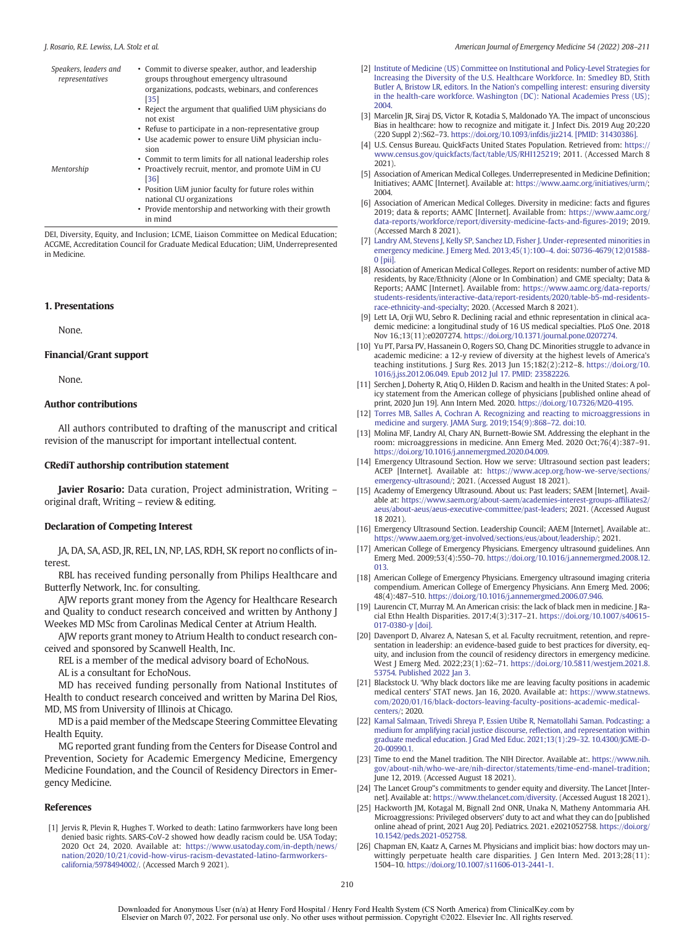<span id="page-4-0"></span>

| Speakers, leaders and<br>representatives | • Commit to diverse speaker, author, and leadership<br>groups throughout emergency ultrasound<br>organizations, podcasts, webinars, and conferences<br>[35] |
|------------------------------------------|-------------------------------------------------------------------------------------------------------------------------------------------------------------|
|                                          | • Reject the argument that qualified UiM physicians do<br>not exist                                                                                         |
|                                          | • Refuse to participate in a non-representative group<br>• Use academic power to ensure UiM physician inclu-<br>sion                                        |
| Mentorship                               | • Commit to term limits for all national leadership roles<br>• Proactively recruit, mentor, and promote UiM in CU<br>[36]                                   |

• Position UiM junior faculty for future roles within national CU organizations

• Provide mentorship and networking with their growth in mind

DEI, Diversity, Equity, and Inclusion; LCME, Liaison Committee on Medical Education; ACGME, Accreditation Council for Graduate Medical Education; UiM, Underrepresented in Medicine.

#### 1. Presentations

None.

### Financial/Grant support

None.

### Author contributions

All authors contributed to drafting of the manuscript and critical revision of the manuscript for important intellectual content.

#### CRediT authorship contribution statement

Javier Rosario: Data curation, Project administration, Writing original draft, Writing – review & editing.

#### Declaration of Competing Interest

JA, DA, SA, ASD, JR, REL, LN, NP, LAS, RDH, SK report no conflicts of interest.

RBL has received funding personally from Philips Healthcare and Butterfly Network, Inc. for consulting.

AJW reports grant money from the Agency for Healthcare Research and Quality to conduct research conceived and written by Anthony J Weekes MD MSc from Carolinas Medical Center at Atrium Health.

AJW reports grant money to Atrium Health to conduct research conceived and sponsored by Scanwell Health, Inc.

REL is a member of the medical advisory board of EchoNous.

AL is a consultant for EchoNous.

MD has received funding personally from National Institutes of Health to conduct research conceived and written by Marina Del Rios, MD, MS from University of Illinois at Chicago.

MD is a paid member of the Medscape Steering Committee Elevating Health Equity.

MG reported grant funding from the Centers for Disease Control and Prevention, Society for Academic Emergency Medicine, Emergency Medicine Foundation, and the Council of Residency Directors in Emergency Medicine.

#### References

[1] Jervis R, Plevin R, Hughes T. Worked to death: Latino farmworkers have long been denied basic rights. SARS-CoV-2 showed how deadly racism could be. USA Today; 2020 Oct 24, 2020. Available at: [https://www.usatoday.com/in-depth/news/](https://www.usatoday.com/in-depth/news/nation/2020/10/21/covid-how-virus-racism-devastated-latino-farmworkers-california/5978494002/) [nation/2020/10/21/covid-how-virus-racism-devastated-latino-farmworkers](https://www.usatoday.com/in-depth/news/nation/2020/10/21/covid-how-virus-racism-devastated-latino-farmworkers-california/5978494002/)[california/5978494002/.](https://www.usatoday.com/in-depth/news/nation/2020/10/21/covid-how-virus-racism-devastated-latino-farmworkers-california/5978494002/) (Accessed March 9 2021).

- [2] [Institute of Medicine \(US\) Committee on Institutional and Policy-Level Strategies for](http://refhub.elsevier.com/S0735-6757(22)00098-5/rf0010) [Increasing the Diversity of the U.S. Healthcare Workforce. In: Smedley BD, Stith](http://refhub.elsevier.com/S0735-6757(22)00098-5/rf0010) [Butler A, Bristow LR, editors. In the Nation](http://refhub.elsevier.com/S0735-6757(22)00098-5/rf0010)'s compelling interest: ensuring diversity [in the health-care workforce. Washington \(DC\): National Academies Press \(US\);](http://refhub.elsevier.com/S0735-6757(22)00098-5/rf0010) [2004.](http://refhub.elsevier.com/S0735-6757(22)00098-5/rf0010)
- [3] Marcelin JR, Siraj DS, Victor R, Kotadia S, Maldonado YA. The impact of unconscious Bias in healthcare: how to recognize and mitigate it. J Infect Dis. 2019 Aug 20;220 (220 Suppl 2):S62–73. [https://doi.org/10.1093/infdis/jiz214. \[PMID: 31430386\].](https://doi.org/10.1093/infdis/jiz214)
- [4] U.S. Census Bureau. QuickFacts United States Population. Retrieved from: [https://](https://www.census.gov/quickfacts/fact/table/US/RHI125219) [www.census.gov/quickfacts/fact/table/US/RHI125219;](https://www.census.gov/quickfacts/fact/table/US/RHI125219) 2011. (Accessed March 8 2021).
- [5] Association of American Medical Colleges. Underrepresented in Medicine Definition; Initiatives; AAMC [Internet]. Available at: [https://www.aamc.org/initiatives/urm/;](https://www.aamc.org/initiatives/urm/) 2004.
- [6] Association of American Medical Colleges. Diversity in medicine: facts and figures 2019; data & reports; AAMC [Internet]. Available from: [https://www.aamc.org/](https://www.aamc.org/data-reports/workforce/report/diversity-medicine-facts-and-figures-2019) [data-reports/workforce/report/diversity-medicine-facts-and-](https://www.aamc.org/data-reports/workforce/report/diversity-medicine-facts-and-figures-2019)figures-2019; 2019. (Accessed March 8 2021).
- [7] [Landry AM, Stevens J, Kelly SP, Sanchez LD, Fisher J. Under-represented minorities in](http://refhub.elsevier.com/S0735-6757(22)00098-5/rf0035) [emergency medicine. J Emerg Med. 2013;45\(1\):100](http://refhub.elsevier.com/S0735-6757(22)00098-5/rf0035)–4. doi: S0736-4679(12)01588- [0 \[pii\].](http://refhub.elsevier.com/S0735-6757(22)00098-5/rf0035)
- [8] Association of American Medical Colleges. Report on residents: number of active MD residents, by Race/Ethnicity (Alone or In Combination) and GME specialty; Data & Reports; AAMC [Internet]. Available from: [https://www.aamc.org/data-reports/](https://www.aamc.org/data-reports/students-residents/interactive-data/report-residents/2020/table-b5-md-residents-race-ethnicity-and-specialty) [students-residents/interactive-data/report-residents/2020/table-b5-md-residents](https://www.aamc.org/data-reports/students-residents/interactive-data/report-residents/2020/table-b5-md-residents-race-ethnicity-and-specialty)[race-ethnicity-and-specialty](https://www.aamc.org/data-reports/students-residents/interactive-data/report-residents/2020/table-b5-md-residents-race-ethnicity-and-specialty); 2020. (Accessed March 8 2021).
- [9] Lett LA, Orji WU, Sebro R. Declining racial and ethnic representation in clinical academic medicine: a longitudinal study of 16 US medical specialties. PLoS One. 2018 Nov 16.;13(11):e0207274. [https://doi.org/10.1371/journal.pone.0207274.](https://doi.org/10.1371/journal.pone.0207274)
- [10] Yu PT, Parsa PV, Hassanein O, Rogers SO, Chang DC, Minorities struggle to advance in academic medicine: a 12-y review of diversity at the highest levels of America's teaching institutions. J Surg Res. 2013 Jun 15;182(2):212–8. [https://doi.org/10.](https://doi.org/10.1016/j.jss.2012.06.049) [1016/j.jss.2012.06.049. Epub 2012 Jul 17. PMID: 23582226.](https://doi.org/10.1016/j.jss.2012.06.049)
- [11] Serchen J, Doherty R, Atiq O, Hilden D. Racism and health in the United States: A policy statement from the American college of physicians [published online ahead of print, 2020 Jun 19]. Ann Intern Med. 2020. [https://doi.org/10.7326/M20-4195.](https://doi.org/10.7326/M20-4195)
- [12] [Torres MB, Salles A, Cochran A. Recognizing and reacting to microaggressions in](http://refhub.elsevier.com/S0735-6757(22)00098-5/rf0060) [medicine and surgery. JAMA Surg. 2019;154\(9\):868](http://refhub.elsevier.com/S0735-6757(22)00098-5/rf0060)–72. doi:10.
- [13] Molina MF, Landry AI, Chary AN, Burnett-Bowie SM. Addressing the elephant in the room: microaggressions in medicine. Ann Emerg Med. 2020 Oct;76(4):387–91. [https://doi.org/10.1016/j.annemergmed.2020.04.009.](https://doi.org/10.1016/j.annemergmed.2020.04.009)
- [14] Emergency Ultrasound Section. How we serve: Ultrasound section past leaders; ACEP [Internet]. Available at: [https://www.acep.org/how-we-serve/sections/](https://www.acep.org/how-we-serve/sections/emergency-ultrasound/) [emergency-ultrasound/;](https://www.acep.org/how-we-serve/sections/emergency-ultrasound/) 2021. (Accessed August 18 2021).
- [15] Academy of Emergency Ultrasound. About us: Past leaders; SAEM [Internet]. Available at: [https://www.saem.org/about-saem/academies-interest-groups-af](https://www.saem.org/about-saem/academies-interest-groups-affiliates2/aeus/about-aeus/aeus-executive-committee/past-leaders)filiates2/ [aeus/about-aeus/aeus-executive-committee/past-leaders](https://www.saem.org/about-saem/academies-interest-groups-affiliates2/aeus/about-aeus/aeus-executive-committee/past-leaders); 2021. (Accessed August 18 2021).
- [16] Emergency Ultrasound Section. Leadership Council; AAEM [Internet]. Available at:. <https://www.aaem.org/get-involved/sections/eus/about/leadership/>; 2021.
- [17] American College of Emergency Physicians. Emergency ultrasound guidelines. Ann Emerg Med. 2009;53(4):550–70. [https://doi.org/10.1016/j.annemergmed.2008.12.](https://doi.org/10.1016/j.annemergmed.2008.12.013) [013.](https://doi.org/10.1016/j.annemergmed.2008.12.013)
- [18] American College of Emergency Physicians. Emergency ultrasound imaging criteria compendium. American College of Emergency Physicians. Ann Emerg Med. 2006; 48(4):487–510. [https://doi.org/10.1016/j.annemergmed.2006.07.946.](https://doi.org/10.1016/j.annemergmed.2006.07.946)
- [19] Laurencin CT, Murray M. An American crisis: the lack of black men in medicine. J Racial Ethn Health Disparities. 2017;4(3):317–21. [https://doi.org/10.1007/s40615-](https://doi.org/10.1007/s40615-017-0380-y [doi]) [017-0380-y \[doi\].](https://doi.org/10.1007/s40615-017-0380-y [doi])
- [20] Davenport D, Alvarez A, Natesan S, et al. Faculty recruitment, retention, and representation in leadership: an evidence-based guide to best practices for diversity, equity, and inclusion from the council of residency directors in emergency medicine. West J Emerg Med. 2022;23(1):62–71. [https://doi.org/10.5811/westjem.2021.8.](https://doi.org/10.5811/westjem.2021.8.53754) [53754. Published 2022 Jan 3.](https://doi.org/10.5811/westjem.2021.8.53754)
- [21] Blackstock U. 'Why black doctors like me are leaving faculty positions in academic medical centers' STAT news. Jan 16, 2020. Available at: [https://www.statnews.](https://www.statnews.com/2020/01/16/black-doctors-leaving-faculty-positions-academic-medical-centers/) [com/2020/01/16/black-doctors-leaving-faculty-positions-academic-medical](https://www.statnews.com/2020/01/16/black-doctors-leaving-faculty-positions-academic-medical-centers/)[centers/;](https://www.statnews.com/2020/01/16/black-doctors-leaving-faculty-positions-academic-medical-centers/) 2020.
- [22] [Kamal Salmaan, Trivedi Shreya P, Essien Utibe R, Nematollahi Saman. Podcasting: a](http://refhub.elsevier.com/S0735-6757(22)00098-5/rf0110) [medium for amplifying racial justice discourse, re](http://refhub.elsevier.com/S0735-6757(22)00098-5/rf0110)flection, and representation within [graduate medical education. J Grad Med Educ. 2021;13\(1\):29](http://refhub.elsevier.com/S0735-6757(22)00098-5/rf0110)–32. 10.4300/JGME-D-[20-00990.1.](http://refhub.elsevier.com/S0735-6757(22)00098-5/rf0110)
- [23] Time to end the Manel tradition. The NIH Director. Available at:. [https://www.nih.](https://www.nih.gov/about-nih/who-we-are/nih-director/statements/time-end-manel-tradition) [gov/about-nih/who-we-are/nih-director/statements/time-end-manel-tradition;](https://www.nih.gov/about-nih/who-we-are/nih-director/statements/time-end-manel-tradition) June 12, 2019. (Accessed August 18 2021).
- [24] The Lancet Group"s commitments to gender equity and diversity. The Lancet [Internet]. Available at: <https://www.thelancet.com/diversity>. (Accessed August 18 2021).
- [25] Hackworth JM, Kotagal M, Bignall 2nd ONR, Unaka N, Matheny Antommaria AH. Microaggressions: Privileged observers' duty to act and what they can do [published online ahead of print, 2021 Aug 20]. Pediatrics. 2021. e2021052758. [https://doi.org/](https://doi.org/10.1542/peds.2021-052758) [10.1542/peds.2021-052758.](https://doi.org/10.1542/peds.2021-052758)
- [26] Chapman EN, Kaatz A, Carnes M. Physicians and implicit bias: how doctors may unwittingly perpetuate health care disparities. J Gen Intern Med. 2013;28(11): 1504–10. [https://doi.org/10.1007/s11606-013-2441-1.](https://doi.org/10.1007/s11606-013-2441-1)